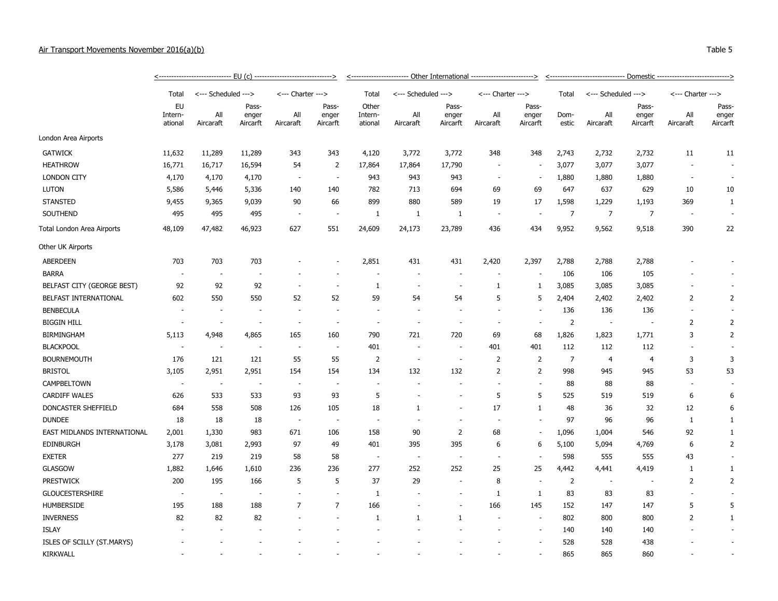## Air Transport Movements November 2016(a)(b)

|                             |                                 |                          |                            |                          |                            | <-------- <u>----------------</u> Other International --------------------------> |                          |                            |                          |                            |                |                          |                            |                          |                            |  |  |
|-----------------------------|---------------------------------|--------------------------|----------------------------|--------------------------|----------------------------|-----------------------------------------------------------------------------------|--------------------------|----------------------------|--------------------------|----------------------------|----------------|--------------------------|----------------------------|--------------------------|----------------------------|--|--|
|                             | Total                           | <--- Scheduled --->      |                            | <--- Charter --->        |                            | Total                                                                             | <--- Scheduled --->      |                            | <--- Charter --->        |                            | Total          | <--- Scheduled --->      |                            | <--- Charter --->        |                            |  |  |
|                             | <b>EU</b><br>Intern-<br>ational | All<br>Aircaraft         | Pass-<br>enger<br>Aircarft | All<br>Aircaraft         | Pass-<br>enger<br>Aircarft | Other<br>Intern-<br>ational                                                       | All<br>Aircaraft         | Pass-<br>enger<br>Aircarft | All<br>Aircaraft         | Pass-<br>enger<br>Aircarft | Dom-<br>estic  | All<br>Aircaraft         | Pass-<br>enger<br>Aircarft | All<br>Aircaraft         | Pass-<br>enger<br>Aircarft |  |  |
| London Area Airports        |                                 |                          |                            |                          |                            |                                                                                   |                          |                            |                          |                            |                |                          |                            |                          |                            |  |  |
| <b>GATWICK</b>              | 11,632                          | 11,289                   | 11,289                     | 343                      | 343                        | 4,120                                                                             | 3,772                    | 3,772                      | 348                      | 348                        | 2,743          | 2,732                    | 2,732                      | 11                       | 11                         |  |  |
| <b>HEATHROW</b>             | 16,771                          | 16,717                   | 16,594                     | 54                       | $\overline{2}$             | 17,864                                                                            | 17,864                   | 17,790                     | $\sim$                   | $\sim$                     | 3,077          | 3,077                    | 3,077                      | $\overline{\phantom{a}}$ |                            |  |  |
| <b>LONDON CITY</b>          | 4,170                           | 4,170                    | 4,170                      |                          | $\sim$                     | 943                                                                               | 943                      | 943                        | $\sim$                   | $\sim$                     | 1,880          | 1,880                    | 1,880                      | $\overline{\phantom{a}}$ |                            |  |  |
| <b>LUTON</b>                | 5,586                           | 5,446                    | 5,336                      | 140                      | 140                        | 782                                                                               | 713                      | 694                        | 69                       | 69                         | 647            | 637                      | 629                        | 10                       | 10                         |  |  |
| <b>STANSTED</b>             | 9,455                           | 9,365                    | 9,039                      | 90                       | 66                         | 899                                                                               | 880                      | 589                        | 19                       | 17                         | 1,598          | 1,229                    | 1,193                      | 369                      | 1                          |  |  |
| SOUTHEND                    | 495                             | 495                      | 495                        |                          | $\overline{\phantom{a}}$   | $\mathbf{1}$                                                                      | 1                        | 1                          | $\overline{\phantom{a}}$ |                            | $\overline{7}$ | $\overline{7}$           | $\overline{7}$             | $\overline{\phantom{a}}$ | $\overline{\phantom{a}}$   |  |  |
| Total London Area Airports  | 48,109                          | 47,482                   | 46,923                     | 627                      | 551                        | 24,609                                                                            | 24,173                   | 23,789                     | 436                      | 434                        | 9,952          | 9,562                    | 9,518                      | 390                      | 22                         |  |  |
| Other UK Airports           |                                 |                          |                            |                          |                            |                                                                                   |                          |                            |                          |                            |                |                          |                            |                          |                            |  |  |
| <b>ABERDEEN</b>             | 703                             | 703                      | 703                        |                          | $\overline{\phantom{a}}$   | 2,851                                                                             | 431                      | 431                        | 2,420                    | 2,397                      | 2,788          | 2,788                    | 2,788                      |                          |                            |  |  |
| <b>BARRA</b>                | $\overline{\phantom{a}}$        | $\overline{\phantom{a}}$ |                            |                          |                            |                                                                                   |                          |                            |                          |                            | 106            | 106                      | 105                        |                          |                            |  |  |
| BELFAST CITY (GEORGE BEST)  | 92                              | 92                       | 92                         |                          | $\sim$                     | 1                                                                                 | $\overline{\phantom{a}}$ | $\overline{\phantom{a}}$   | 1                        | 1                          | 3,085          | 3,085                    | 3,085                      |                          |                            |  |  |
| BELFAST INTERNATIONAL       | 602                             | 550                      | 550                        | 52                       | 52                         | 59                                                                                | 54                       | 54                         | 5                        | 5                          | 2,404          | 2,402                    | 2,402                      | $\overline{2}$           | 2                          |  |  |
| <b>BENBECULA</b>            | $\overline{\phantom{a}}$        |                          |                            |                          |                            | $\sim$                                                                            |                          |                            |                          |                            | 136            | 136                      | 136                        |                          |                            |  |  |
| <b>BIGGIN HILL</b>          | $\overline{\phantom{a}}$        | $\overline{\phantom{a}}$ | $\overline{\phantom{a}}$   |                          | J.                         | $\sim$                                                                            |                          | $\sim$                     | $\overline{\phantom{a}}$ |                            | $\overline{2}$ | $\overline{\phantom{a}}$ |                            | $\overline{2}$           | 2                          |  |  |
| <b>BIRMINGHAM</b>           | 5,113                           | 4,948                    | 4,865                      | 165                      | 160                        | 790                                                                               | 721                      | 720                        | 69                       | 68                         | 1,826          | 1,823                    | 1,771                      | 3                        | 2                          |  |  |
| <b>BLACKPOOL</b>            | $\overline{\phantom{a}}$        | $\overline{\phantom{a}}$ | $\overline{\phantom{a}}$   | $\overline{\phantom{a}}$ | $\sim$                     | 401                                                                               | $\overline{\phantom{a}}$ | $\overline{\phantom{a}}$   | 401                      | 401                        | 112            | 112                      | 112                        | $\overline{\phantom{a}}$ |                            |  |  |
| <b>BOURNEMOUTH</b>          | 176                             | 121                      | 121                        | 55                       | 55                         | $\overline{2}$                                                                    | $\overline{\phantom{a}}$ | $\overline{\phantom{a}}$   | $\overline{2}$           | $\overline{2}$             | $\overline{7}$ | $\overline{4}$           | $\overline{4}$             | 3                        | 3                          |  |  |
| <b>BRISTOL</b>              | 3,105                           | 2,951                    | 2,951                      | 154                      | 154                        | 134                                                                               | 132                      | 132                        | $\overline{2}$           | $\overline{2}$             | 998            | 945                      | 945                        | 53                       | 53                         |  |  |
| <b>CAMPBELTOWN</b>          | $\overline{\phantom{a}}$        | . –                      | $\overline{\phantom{a}}$   | $\overline{\phantom{a}}$ | $\sim$                     | $\sim$                                                                            |                          | $\blacksquare$             | $\sim$                   | $\sim$                     | 88             | 88                       | 88                         | $\overline{\phantom{a}}$ |                            |  |  |
| <b>CARDIFF WALES</b>        | 626                             | 533                      | 533                        | 93                       | 93                         | 5                                                                                 |                          |                            | 5                        | 5                          | 525            | 519                      | 519                        | 6                        | 6                          |  |  |
| DONCASTER SHEFFIELD         | 684                             | 558                      | 508                        | 126                      | 105                        | 18                                                                                | 1                        | $\overline{a}$             | 17                       | 1                          | 48             | 36                       | 32                         | 12                       | 6                          |  |  |
| <b>DUNDEE</b>               | 18                              | 18                       | 18                         | $\sim$                   |                            | $\overline{\phantom{a}}$                                                          |                          |                            | ٠.                       |                            | 97             | 96                       | 96                         | 1                        | 1                          |  |  |
| EAST MIDLANDS INTERNATIONAL | 2,001                           | 1,330                    | 983                        | 671                      | 106                        | 158                                                                               | 90                       | $\overline{2}$             | 68                       | $\sim$                     | 1,096          | 1,004                    | 546                        | 92                       | $\mathbf{1}$               |  |  |
| <b>EDINBURGH</b>            | 3,178                           | 3,081                    | 2,993                      | 97                       | 49                         | 401                                                                               | 395                      | 395                        | 6                        | 6                          | 5,100          | 5,094                    | 4,769                      | 6                        | 2                          |  |  |
| <b>EXETER</b>               | 277                             | 219                      | 219                        | 58                       | 58                         | $\overline{\phantom{a}}$                                                          | $\sim$                   | $\sim$                     | $\sim$                   | $\sim$                     | 598            | 555                      | 555                        | 43                       |                            |  |  |
| <b>GLASGOW</b>              | 1,882                           | 1,646                    | 1,610                      | 236                      | 236                        | 277                                                                               | 252                      | 252                        | 25                       | 25                         | 4,442          | 4,441                    | 4,419                      | $\mathbf{1}$             | $\mathbf{1}$               |  |  |
| <b>PRESTWICK</b>            | 200                             | 195                      | 166                        | 5                        | 5                          | 37                                                                                | 29                       | $\overline{\phantom{a}}$   | 8                        |                            | $\overline{2}$ | $\overline{\phantom{a}}$ |                            | $\overline{2}$           | 2                          |  |  |
| <b>GLOUCESTERSHIRE</b>      | $\overline{\phantom{a}}$        | $\overline{\phantom{a}}$ | $\overline{\phantom{a}}$   | $\sim$                   | $\overline{\phantom{a}}$   | $\mathbf{1}$                                                                      |                          | $\overline{\phantom{a}}$   | 1                        | 1                          | 83             | 83                       | 83                         | $\overline{\phantom{a}}$ |                            |  |  |
| <b>HUMBERSIDE</b>           | 195                             | 188                      | 188                        | $\overline{7}$           | $\overline{7}$             | 166                                                                               |                          |                            | 166                      | 145                        | 152            | 147                      | 147                        | 5                        | 5                          |  |  |
| <b>INVERNESS</b>            | 82                              | 82                       | 82                         |                          |                            | $\mathbf{1}$                                                                      | 1                        | 1                          |                          | $\overline{\phantom{a}}$   | 802            | 800                      | 800                        | 2                        | 1                          |  |  |
| <b>ISLAY</b>                |                                 |                          |                            |                          |                            |                                                                                   |                          |                            |                          |                            | 140            | 140                      | 140                        |                          |                            |  |  |
| ISLES OF SCILLY (ST.MARYS)  |                                 |                          |                            |                          |                            |                                                                                   |                          |                            |                          |                            | 528            | 528                      | 438                        |                          |                            |  |  |
| <b>KIRKWALL</b>             |                                 |                          |                            |                          |                            |                                                                                   |                          |                            |                          | $\overline{\phantom{a}}$   | 865            | 865                      | 860                        |                          |                            |  |  |